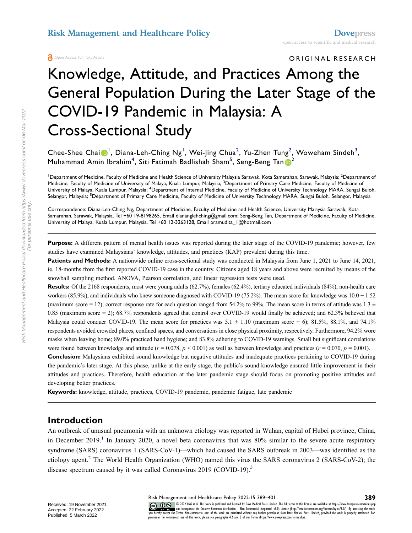#### ORIGINAL RESEARCH

# Knowledge, Attitude, and Practices Among the General Population During the Later Stage of the COVID-19 Pandemic in Malaysia: A Cross-Sectional Study

Chee-Shee Chai $\bm{\Theta}^{\text{I}}$ , Diana-Leh-Ching Ng<sup>[1](#page-0-0)</sup>, Wei-Jing Chua<sup>[2](#page-0-0)</sup>, Yu-Zhen Tung<sup>2</sup>, Woweham Sindeh<sup>[3](#page-0-1)</sup>, Muhammad Amin Ibrahim<sup>[4](#page-0-2)</sup>, Siti Fatimah Badlishah Sham<sup>[5](#page-0-3)</sup>, Seng-Beng Tan $\bigcirc^2$  $\bigcirc^2$ 

<span id="page-0-2"></span><span id="page-0-1"></span><span id="page-0-0"></span><sup>1</sup>Department of Medicine, Faculty of Medicine and Health Science of University Malaysia Sarawak, Kota Samarahan, Sarawak, Malaysia; <sup>2</sup>Department of Medicine, Faculty of Medicine of University of Malaya, Kuala Lumpur, Malaysia; <sup>3</sup>Department of Primary Care Medicine, Faculty of Medicine of University of Malaya, Kuala Lumpur, Malaysia; <sup>4</sup>Department of Internal Medicine, Faculty of Medicine of University Technology MARA, Sungai Buloh, Selangor, Malaysia; <sup>5</sup>Department of Primary Care Medicine, Faculty of Medicine of University Technology MARA, Sungai Buloh, Selangor, Malaysia

<span id="page-0-3"></span>Correspondence: Diana-Leh-Ching Ng, Department of Medicine, Faculty of Medicine and Health Science, University Malaysia Sarawak, Kota Samarahan, Sarawak, Malaysia, Tel +60 19-8198265, Email diananglehching@gmail.com; Seng-Beng Tan, Department of Medicine, Faculty of Medicine, University of Malaya, Kuala Lumpur, Malaysia, Tel +60 12-3263128, Email pramudita\_1@hotmail.com

**Purpose:** A different pattern of mental health issues was reported during the later stage of the COVID-19 pandemic; however, few studies have examined Malaysians' knowledge, attitudes, and practices (KAP) prevalent during this time.

**Patients and Methods:** A nationwide online cross-sectional study was conducted in Malaysia from June 1, 2021 to June 14, 2021, ie, 18-months from the first reported COVID-19 case in the country. Citizens aged 18 years and above were recruited by means of the snowball sampling method. ANOVA, Pearson correlation, and linear regression tests were used.

**Results:** Of the 2168 respondents, most were young adults (62.7%), females (62.4%), tertiary educated individuals (84%), non-health care workers (85.9%), and individuals who knew someone diagnosed with COVID-19 (75.2%). The mean score for knowledge was  $10.0 \pm 1.52$ (maximum score = 12); correct response rate for each question ranged from 54.2% to 99%. The mean score in terms of attitude was  $1.3 \pm$ 0.85 (maximum score = 2); 68.7% respondents agreed that control over COVID-19 would finally be achieved; and 62.3% believed that Malaysia could conquer COVID-19. The mean score for practices was  $5.1 \pm 1.10$  (maximum score = 6); 81.5%, 88.1%, and 74.1% respondents avoided crowded places, confined spaces, and conversations in close physical proximity, respectively. Furthermore, 94.2% wore masks when leaving home; 89.0% practiced hand hygiene; and 83.8% adhering to COVID-19 warnings. Small but significant correlations were found between knowledge and attitude  $(r = 0.078, p \le 0.001)$  as well as between knowledge and practices  $(r = 0.070, p = 0.001)$ .

**Conclusion:** Malaysians exhibited sound knowledge but negative attitudes and inadequate practices pertaining to COVID-19 during the pandemic's later stage. At this phase, unlike at the early stage, the public's sound knowledge ensured little improvement in their attitudes and practices. Therefore, health education at the later pandemic stage should focus on promoting positive attitudes and developing better practices.

**Keywords:** knowledge, attitude, practices, COVID-19 pandemic, pandemic fatigue, late pandemic

#### **Introduction**

<span id="page-0-6"></span><span id="page-0-5"></span><span id="page-0-4"></span>An outbreak of unusual pneumonia with an unknown etiology was reported in Wuhan, capital of Hubei province, China, in December 20[1](#page-11-0)9.<sup>1</sup> In January 2020, a novel beta coronavirus that was 80% similar to the severe acute respiratory syndrome (SARS) coronavirus 1 (SARS-CoV-1)—which had caused the SARS outbreak in 2003—was identified as the etiology agent[.2](#page-11-1) The World Health Organization (WHO) named this virus the SARS coronavirus 2 (SARS-CoV-2); the disease spectrum caused by it was called Coronavirus 2019 (COVID-19).<sup>3</sup>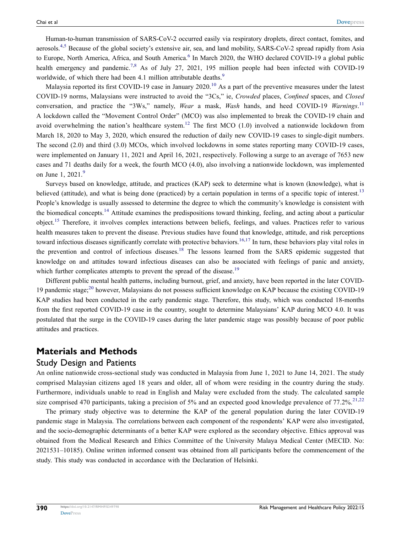<span id="page-1-1"></span><span id="page-1-0"></span>Human-to-human transmission of SARS-CoV-2 occurred easily via respiratory droplets, direct contact, fomites, and aerosols.<sup>4,[5](#page-11-4)</sup> Because of the global society's extensive air, sea, and land mobility, SARS-CoV-2 spread rapidly from Asia to Europe, North America, Africa, and South America.<sup>[6](#page-11-5)</sup> In March 2020, the WHO declared COVID-19 a global public health emergency and pandemic.<sup>[7,](#page-11-6)[8](#page-11-7)</sup> As of July 27, 2021, 195 million people had been infected with COVID-19 worldwide, of which there had been 4.1 million attributable deaths.<sup>[9](#page-11-8)</sup>

<span id="page-1-6"></span><span id="page-1-5"></span><span id="page-1-4"></span><span id="page-1-2"></span>Malaysia reported its first COVID-19 case in January 2020.<sup>[10](#page-11-9)</sup> As a part of the preventive measures under the latest COVID-19 norms, Malaysians were instructed to avoid the "3Cs," ie, *Crowded* places, *Confined* spaces, and *Closed* conversation, and practice the "3Ws," namely, *Wear* a mask, *Wash* hands, and heed COVID-19 *Warnings*. [11](#page-11-10) A lockdown called the "Movement Control Order" (MCO) was also implemented to break the COVID-19 chain and avoid overwhelming the nation's healthcare system.<sup>[12](#page-11-11)</sup> The first MCO (1.0) involved a nationwide lockdown from March 18, 2020 to May 3, 2020, which ensured the reduction of daily new COVID-19 cases to single-digit numbers. The second (2.0) and third (3.0) MCOs, which involved lockdowns in some states reporting many COVID-19 cases, were implemented on January 11, 2021 and April 16, 2021, respectively. Following a surge to an average of 7653 new cases and 71 deaths daily for a week, the fourth MCO (4.0), also involving a nationwide lockdown, was implemented on June 1, 2021.<sup>[9](#page-11-8)</sup>

<span id="page-1-9"></span><span id="page-1-8"></span><span id="page-1-7"></span><span id="page-1-3"></span>Surveys based on knowledge, attitude, and practices (KAP) seek to determine what is known (knowledge), what is believed (attitude), and what is being done (practiced) by a certain population in terms of a specific topic of interest.<sup>[13](#page-11-12)</sup> People's knowledge is usually assessed to determine the degree to which the community's knowledge is consistent with the biomedical concepts.[14](#page-11-13) Attitude examines the predispositions toward thinking, feeling, and acting about a particular object.[15](#page-11-14) Therefore, it involves complex interactions between beliefs, feelings, and values. Practices refer to various health measures taken to prevent the disease. Previous studies have found that knowledge, attitude, and risk perceptions toward infectious diseases significantly correlate with protective behaviors.<sup>[16,](#page-11-15)[17](#page-11-16)</sup> In turn, these behaviors play vital roles in the prevention and control of infectious diseases.[18](#page-11-17) The lessons learned from the SARS epidemic suggested that knowledge on and attitudes toward infectious diseases can also be associated with feelings of panic and anxiety, which further complicates attempts to prevent the spread of the disease.<sup>19</sup>

<span id="page-1-13"></span><span id="page-1-12"></span><span id="page-1-11"></span><span id="page-1-10"></span>Different public mental health patterns, including burnout, grief, and anxiety, have been reported in the later COVID-19 pandemic stage;<sup>[20](#page-11-19)</sup> however, Malaysians do not possess sufficient knowledge on KAP because the existing COVID-19 KAP studies had been conducted in the early pandemic stage. Therefore, this study, which was conducted 18-months from the first reported COVID-19 case in the country, sought to determine Malaysians' KAP during MCO 4.0. It was postulated that the surge in the COVID-19 cases during the later pandemic stage was possibly because of poor public attitudes and practices.

#### **Materials and Methods**

#### Study Design and Patients

An online nationwide cross-sectional study was conducted in Malaysia from June 1, 2021 to June 14, 2021. The study comprised Malaysian citizens aged 18 years and older, all of whom were residing in the country during the study. Furthermore, individuals unable to read in English and Malay were excluded from the study. The calculated sample size comprised 470 participants, taking a precision of 5% and an expected good knowledge prevalence of  $77.2\%$ <sup>[21,](#page-11-20)[22](#page-11-21)</sup>

<span id="page-1-14"></span>The primary study objective was to determine the KAP of the general population during the later COVID-19 pandemic stage in Malaysia. The correlations between each component of the respondents' KAP were also investigated, and the socio-demographic determinants of a better KAP were explored as the secondary objective. Ethics approval was obtained from the Medical Research and Ethics Committee of the University Malaya Medical Center (MECID. No: 2021531–10185). Online written informed consent was obtained from all participants before the commencement of the study. This study was conducted in accordance with the Declaration of Helsinki.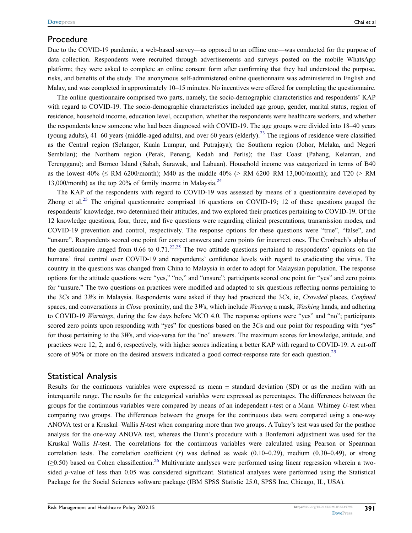#### Procedure

Due to the COVID-19 pandemic, a web-based survey—as opposed to an offline one—was conducted for the purpose of data collection. Respondents were recruited through advertisements and surveys posted on the mobile WhatsApp platform; they were asked to complete an online consent form after confirming that they had understood the purpose, risks, and benefits of the study. The anonymous self-administered online questionnaire was administered in English and Malay, and was completed in approximately 10–15 minutes. No incentives were offered for completing the questionnaire.

<span id="page-2-0"></span>The online questionnaire comprised two parts, namely, the socio-demographic characteristics and respondents' KAP with regard to COVID-19. The socio-demographic characteristics included age group, gender, marital status, region of residence, household income, education level, occupation, whether the respondents were healthcare workers, and whether the respondents knew someone who had been diagnosed with COVID-19. The age groups were divided into 18–40 years (young adults), 41–60 years (middle-aged adults), and over 60 years (elderly).<sup>[23](#page-11-22)</sup> The regions of residence were classified as the Central region (Selangor, Kuala Lumpur, and Putrajaya); the Southern region (Johor, Melaka, and Negeri Sembilan); the Northern region (Perak, Penang, Kedah and Perlis); the East Coast (Pahang, Kelantan, and Terengganu); and Borneo Island (Sabah, Sarawak, and Labuan). Household income was categorized in terms of B40 as the lowest  $40\%$  ( $\leq$  RM 6200/month); M40 as the middle  $40\%$  ( $>$  RM 6200–RM 13,000/month); and T20 ( $>$  RM 13,000/month) as the top 20% of family income in Malaysia.<sup>[24](#page-11-23)</sup>

<span id="page-2-1"></span>The KAP of the respondents with regard to COVID-19 was assessed by means of a questionnaire developed by Zhong et al.<sup>[25](#page-11-24)</sup> The original questionnaire comprised 16 questions on COVID-19; 12 of these questions gauged the respondents' knowledge, two determined their attitudes, and two explored their practices pertaining to COVID-19. Of the 12 knowledge questions, four, three, and five questions were regarding clinical presentations, transmission modes, and COVID-19 prevention and control, respectively. The response options for these questions were "true", "false", and "unsure". Respondents scored one point for correct answers and zero points for incorrect ones. The Cronbach's alpha of the questionnaire ranged from 0.66 to 0.71.<sup>[22,](#page-11-21)[25](#page-11-24)</sup> The two attitude questions pertained to respondents' opinions on the humans' final control over COVID-19 and respondents' confidence levels with regard to eradicating the virus. The country in the questions was changed from China to Malaysia in order to adopt for Malaysian population. The response options for the attitude questions were "yes," "no," and "unsure"; participants scored one point for "yes" and zero points for "unsure." The two questions on practices were modified and adapted to six questions reflecting norms pertaining to the 3*C*s and 3*W*s in Malaysia. Respondents were asked if they had practiced the 3*C*s, ie, *Crowded* places, *Confined* spaces, and conversations in *Close* proximity, and the 3*W*s, which include *Wearing* a mask, *Washing* hands, and adhering to COVID-19 *Warnings*, during the few days before MCO 4.0. The response options were "yes" and "no"; participants scored zero points upon responding with "yes" for questions based on the 3*C*s and one point for responding with "yes" for those pertaining to the 3*W*s, and vice-versa for the "no" answers. The maximum scores for knowledge, attitude, and practices were 12, 2, and 6, respectively, with higher scores indicating a better KAP with regard to COVID-19. A cut-off score of 90% or more on the desired answers indicated a good correct-response rate for each question.<sup>[25](#page-11-24)</sup>

#### <span id="page-2-2"></span>Statistical Analysis

<span id="page-2-3"></span>Results for the continuous variables were expressed as mean  $\pm$  standard deviation (SD) or as the median with an interquartile range. The results for the categorical variables were expressed as percentages. The differences between the groups for the continuous variables were compared by means of an independent *t*-test or a Mann–Whitney *U*-test when comparing two groups. The differences between the groups for the continuous data were compared using a one-way ANOVA test or a Kruskal–Wallis *H*-test when comparing more than two groups. A Tukey's test was used for the posthoc analysis for the one-way ANOVA test, whereas the Dunn's procedure with a Bonferroni adjustment was used for the Kruskal–Wallis *H-*test. The correlations for the continuous variables were calculated using Pearson or Spearman correlation tests. The correlation coefficient (*r*) was defined as weak (0.10–0.29), medium (0.30–0.49), or strong  $(\geq 0.50)$  based on Cohen classification.<sup>26</sup> Multivariate analyses were performed using linear regression wherein a twosided *p*-value of less than 0.05 was considered significant. Statistical analyses were performed using the Statistical Package for the Social Sciences software package (IBM SPSS Statistic 25.0, SPSS Inc, Chicago, IL, USA).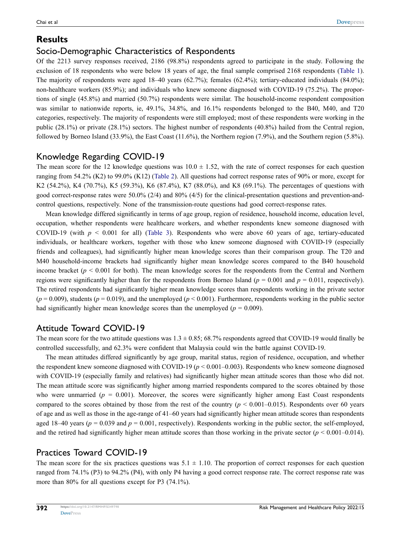# **Results**

# Socio-Demographic Characteristics of Respondents

Of the 2213 survey responses received, 2186 (98.8%) respondents agreed to participate in the study. Following the exclusion of 18 respondents who were below 18 years of age, the final sample comprised 2168 respondents [\(Table 1\)](#page-4-0). The majority of respondents were aged 18–40 years (62.7%); females (62.4%); tertiary-educated individuals (84.0%); non-healthcare workers (85.9%); and individuals who knew someone diagnosed with COVID-19 (75.2%). The proportions of single (45.8%) and married (50.7%) respondents were similar. The household-income respondent composition was similar to nationwide reports, ie, 49.1%, 34.8%, and 16.1% respondents belonged to the B40, M40, and T20 categories, respectively. The majority of respondents were still employed; most of these respondents were working in the public (28.1%) or private (28.1%) sectors. The highest number of respondents (40.8%) hailed from the Central region, followed by Borneo Island (33.9%), the East Coast (11.6%), the Northern region (7.9%), and the Southern region (5.8%).

# Knowledge Regarding COVID-19

The mean score for the 12 knowledge questions was  $10.0 \pm 1.52$ , with the rate of correct responses for each question ranging from 54.2% (K2) to 99.0% (K12) [\(Table 2](#page-5-0)). All questions had correct response rates of 90% or more, except for K2 (54.2%), K4 (70.7%), K5 (59.3%), K6 (87.4%), K7 (88.0%), and K8 (69.1%). The percentages of questions with good correct-response rates were 50.0% (2/4) and 80% (4/5) for the clinical-presentation questions and prevention-andcontrol questions, respectively. None of the transmission-route questions had good correct-response rates.

Mean knowledge differed significantly in terms of age group, region of residence, household income, education level, occupation, whether respondents were healthcare workers, and whether respondents knew someone diagnosed with COVID-19 (with  $p \le 0.001$  for all) [\(Table 3\)](#page-6-0). Respondents who were above 60 years of age, tertiary-educated individuals, or healthcare workers, together with those who knew someone diagnosed with COVID-19 (especially friends and colleagues), had significantly higher mean knowledge scores than their comparison group. The T20 and M40 household-income brackets had significantly higher mean knowledge scores compared to the B40 household income bracket ( $p < 0.001$  for both). The mean knowledge scores for the respondents from the Central and Northern regions were significantly higher than for the respondents from Borneo Island ( $p = 0.001$  and  $p = 0.011$ , respectively). The retired respondents had significantly higher mean knowledge scores than respondents working in the private sector  $(p = 0.009)$ , students  $(p = 0.019)$ , and the unemployed  $(p < 0.001)$ . Furthermore, respondents working in the public sector had significantly higher mean knowledge scores than the unemployed ( $p = 0.009$ ).

# Attitude Toward COVID-19

The mean score for the two attitude questions was  $1.3 \pm 0.85$ ; 68.7% respondents agreed that COVID-19 would finally be controlled successfully, and 62.3% were confident that Malaysia could win the battle against COVID-19.

The mean attitudes differed significantly by age group, marital status, region of residence, occupation, and whether the respondent knew someone diagnosed with COVID-19 (*p* < 0.001–0.003). Respondents who knew someone diagnosed with COVID-19 (especially family and relatives) had significantly higher mean attitude scores than those who did not. The mean attitude score was significantly higher among married respondents compared to the scores obtained by those who were unmarried  $(p = 0.001)$ . Moreover, the scores were significantly higher among East Coast respondents compared to the scores obtained by those from the rest of the country  $(p < 0.001 - 0.015)$ . Respondents over 60 years of age and as well as those in the age-range of 41–60 years had significantly higher mean attitude scores than respondents aged 18–40 years ( $p = 0.039$  and  $p = 0.001$ , respectively). Respondents working in the public sector, the self-employed, and the retired had significantly higher mean attitude scores than those working in the private sector  $(p < 0.001 - 0.014)$ .

# Practices Toward COVID-19

The mean score for the six practices questions was  $5.1 \pm 1.10$ . The proportion of correct responses for each question ranged from 74.1% (P3) to 94.2% (P4), with only P4 having a good correct response rate. The correct response rate was more than 80% for all questions except for P3 (74.1%).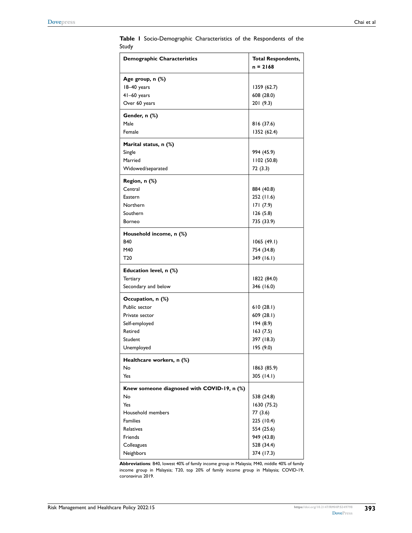| <b>Demographic Characteristics</b>          | <b>Total Respondents,</b><br>$n = 2168$ |
|---------------------------------------------|-----------------------------------------|
| Age group, n (%)                            |                                         |
| 18-40 years                                 | 1359 (62.7)                             |
| 41-60 years                                 | 608 (28.0)                              |
| Over 60 years                               | 201(9.3)                                |
| Gender, n (%)                               |                                         |
| Male                                        | 816 (37.6)                              |
| Female                                      | 1352 (62.4)                             |
| Marital status, n (%)                       |                                         |
| Single                                      | 994 (45.9)                              |
| Married                                     | 1102(50.8)                              |
| Widowed/separated                           | 72 (3.3)                                |
| Region, n (%)                               |                                         |
| Central                                     | 884 (40.8)                              |
| Eastern                                     | 252 (11.6)                              |
| Northern                                    | 171 (7.9)                               |
| Southern                                    | 126(5.8)                                |
| Borneo                                      | 735 (33.9)                              |
| Household income, n (%)                     |                                         |
| <b>B40</b>                                  | 1065(49.1)                              |
| M40                                         | 754 (34.8)                              |
| T20                                         | 349 (16.1)                              |
| Education level, n (%)                      |                                         |
| <b>Tertiary</b>                             | 1822 (84.0)                             |
| Secondary and below                         | 346 (16.0)                              |
| Occupation, n (%)                           |                                         |
| Public sector                               | 610(28.1)                               |
| Private sector                              | 609(28.1)                               |
| Self-employed                               | 194(8.9)                                |
| Retired                                     | 163(7.5)                                |
| Student                                     | 397 (18.3)                              |
| Unemployed                                  | 195 (9.0)                               |
| Healthcare workers, n (%)                   |                                         |
| No                                          | 1863 (85.9)                             |
| Yes                                         | 305(14.1)                               |
| Knew someone diagnosed with COVID-19, n (%) |                                         |
| No                                          | 538 (24.8)                              |
| Yes                                         | 1630 (75.2)                             |
| Household members                           | 77 (3.6)                                |
| <b>Families</b>                             | 225 (10.4)                              |
| <b>Relatives</b>                            | 554 (25.6)                              |
| Friends                                     | 949 (43.8)                              |
| Colleagues                                  | 528 (34.4)                              |
| Neighbors                                   | 374 (17.3)                              |

<span id="page-4-0"></span>**Table 1** Socio-Demographic Characteristics of the Respondents of the Study

**Abbreviations**: B40, lowest 40% of family income group in Malaysia; M40, middle 40% of family income group in Malaysia; T20, top 20% of family income group in Malaysia; COVID-19, coronavirus 2019.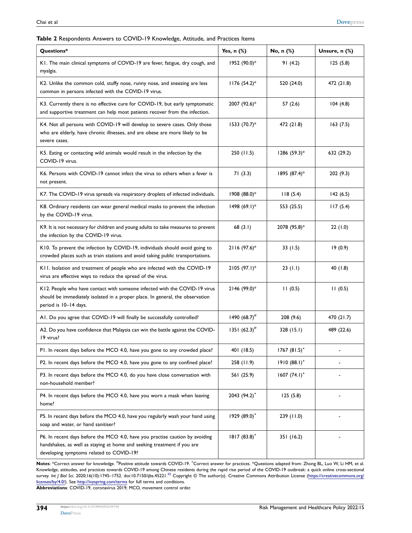#### <span id="page-5-0"></span>**Table 2** Respondents Answers to COVID-19 Knowledge, Attitude, and Practices Items

| Questions*                                                                                                                                                                                          | <b>Yes, n (%)</b>        | No, n (%)       | Unsure, n (%) |
|-----------------------------------------------------------------------------------------------------------------------------------------------------------------------------------------------------|--------------------------|-----------------|---------------|
| K1. The main clinical symptoms of COVID-19 are fever, fatigue, dry cough, and<br>myalgia.                                                                                                           | 1952 (90.0)*             | 91(4.2)         | 125(5.8)      |
| K2. Unlike the common cold, stuffy nose, runny nose, and sneezing are less<br>common in persons infected with the COVID-19 virus.                                                                   | $1176 (54.2)^*$          | 520 (24.0)      | 472 (21.8)    |
| K3. Currently there is no effective cure for COVID-19, but early symptomatic<br>and supportive treatment can help most patients recover from the infection.                                         | 2007 (92.6)*             | 57(2.6)         | 104(4.8)      |
| K4. Not all persons with COVID-19 will develop to severe cases. Only those<br>who are elderly, have chronic illnesses, and are obese are more likely to be<br>severe cases.                         | 1533 (70.7)*             | 472 (21.8)      | 163(7.5)      |
| K5. Eating or contacting wild animals would result in the infection by the<br>COVID-19 virus.                                                                                                       | 250 (11.5)               | 1286 (59.3)*    | 632 (29.2)    |
| K6. Persons with COVID-19 cannot infect the virus to others when a fever is<br>not present.                                                                                                         | 71(3.3)                  | 1895 (87.4)*    | 202 (9.3)     |
| K7. The COVID-19 virus spreads via respiratory droplets of infected individuals.                                                                                                                    | 1908 (88.0)*             | 118(5.4)        | 142(6.5)      |
| K8. Ordinary residents can wear general medical masks to prevent the infection<br>by the COVID-19 virus.                                                                                            | $1498 (69.1)^*$          | 553 (25.5)      | 117(5.4)      |
| K9. It is not necessary for children and young adults to take measures to prevent<br>the infection by the COVID-19 virus.                                                                           | 68(3.1)                  | 2078 (95.8)*    | 22(1.0)       |
| K10. To prevent the infection by COVID-19, individuals should avoid going to<br>crowded places such as train stations and avoid taking public transportations.                                      | 2116 (97.6)*             | 33 $(1.5)$      | 19(0.9)       |
| K11. Isolation and treatment of people who are infected with the COVID-19<br>virus are effective ways to reduce the spread of the virus.                                                            | 2105 (97.1)*             | 23(1.1)         | 40(1.8)       |
| K12. People who have contact with someone infected with the COVID-19 virus<br>should be immediately isolated in a proper place. In general, the observation<br>period is 10-14 days.                | 2146 (99.0)*             | 11(0.5)         | 11(0.5)       |
| AI. Do you agree that COVID-19 will finally be successfully controlled?                                                                                                                             | 1490 $(68.7)^{\#}$       | 208 (9.6)       | 470 (21.7)    |
| A2. Do you have confidence that Malaysia can win the battle against the COVID-<br>19 virus?                                                                                                         | 1351 $(62.3)^{#}$        | 328 (15.1)      | 489 (22.6)    |
| PI. In recent days before the MCO 4.0, have you gone to any crowded place?                                                                                                                          | 401 (18.5)               | $1767 (81.5)^+$ |               |
| P2. In recent days before the MCO 4.0, have you gone to any confined place?                                                                                                                         | 258(11.9)                | $1910(88.1)^+$  |               |
| P3. In recent days before the MCO 4.0, do you have close conversation with<br>non-household member?                                                                                                 | 561 (25.9)               | $1607 (74.1)^+$ |               |
| P4. In recent days before the MCO 4.0, have you worn a mask when leaving<br>home?                                                                                                                   | 2043 $(94.2)^+$          | 125(5.8)        |               |
| P5. In recent days before the MCO 4.0, have you regularly wash your hand using<br>soap and water, or hand sanitiser?                                                                                | 1929 (89.0) <sup>+</sup> | 239 (11.0)      |               |
| P6. In recent days before the MCO 4.0, have you practise caution by avoiding<br>handshakes, as well as staying at home and seeking treatment if you are<br>developing symptoms related to COVID-19? | $1817(83.8)^+$           | 351 (16.2)      |               |

Notes: \*Correct answer for knowledge. <sup>#</sup>Positive attitude towards COVID-19. <sup>+</sup>Correct answer for practices. \*Questions adapted from: Zhong BL, Luo W, Li HM, et al. Knowledge, attitudes, and practices towards COVID-19 among Chinese residents during the rapid rise period of the COVID-19 outbreak: a quick online cross-sectional<br>survey *Int J Biol Sci*. 2020;16(10):1745–1752. doi:10.7150 [licenses/by/4.0/\)](https://creativecommons.org/licenses/by/4.0/). See <http://ivyspring.com/terms> for full terms and conditions.

**Abbreviations**: COVID-19, coronavirus 2019; MCO, movement control order.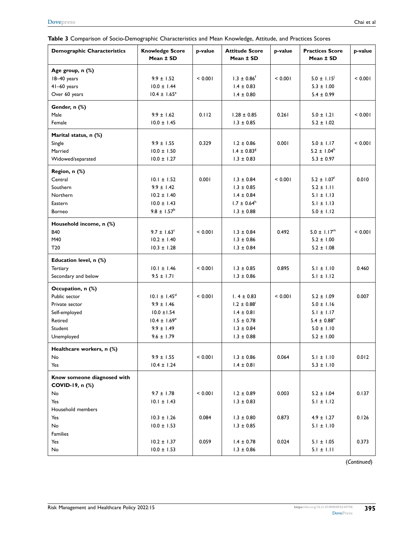<span id="page-6-0"></span>

|  |  | Table 3 Comparison of Socio-Demographic Characteristics and Mean Knowledge, Attitude, and Practices Scores |  |  |  |
|--|--|------------------------------------------------------------------------------------------------------------|--|--|--|
|  |  |                                                                                                            |  |  |  |

| <b>Demographic Characteristics</b>                                                                        | <b>Knowledge Score</b><br>Mean ± SD                                                                                   | p-value        | <b>Attitude Score</b><br>Mean ± SD                                                                                    | p-value        | <b>Practices Score</b><br>Mean ± SD                                                                                   | p-value        |
|-----------------------------------------------------------------------------------------------------------|-----------------------------------------------------------------------------------------------------------------------|----------------|-----------------------------------------------------------------------------------------------------------------------|----------------|-----------------------------------------------------------------------------------------------------------------------|----------------|
| Age group, n (%)<br>18-40 years<br>41-60 years<br>Over 60 years                                           | $9.9 \pm 1.52$<br>$10.0 \pm 1.44$<br>$10.4 \pm 1.65^a$                                                                | < 0.001        | $1.3 \pm 0.86$ <sup>f</sup><br>$1.4 \pm 0.83$<br>$1.4 \pm 0.80$                                                       | < 0.001        | $5.0 \pm 1.15^{\circ}$<br>$5.3 \pm 1.00$<br>$5.4 \pm 0.99$                                                            | < 0.001        |
| Gender, n (%)<br>Male<br>Female                                                                           | $9.9 \pm 1.62$<br>$10.0 \pm 1.45$                                                                                     | 0.112          | $1.28 \pm 0.85$<br>$1.3 \pm 0.85$                                                                                     | 0.261          | $5.0 \pm 1.21$<br>$5.2 \pm 1.02$                                                                                      | < 0.001        |
| Marital status, n (%)<br>Single<br>Married<br>Widowed/separated                                           | $9.9 \pm 1.55$<br>$10.0 \pm 1.50$<br>$10.0 \pm 1.27$                                                                  | 0.329          | $1.2 \pm 0.86$<br>$1.4 \pm 0.83$ <sup>g</sup><br>$1.3 \pm 0.83$                                                       | 0.001          | $5.0 \pm 1.17$<br>$5.2 \pm 1.04^k$<br>$5.3 \pm 0.97$                                                                  | < 0.001        |
| Region, n (%)<br>Central<br>Southern<br><b>Northern</b><br>Eastern                                        | $10.1 \pm 1.52$<br>$9.9 \pm 1.42$<br>$10.2 \pm 1.40$<br>$10.0 \pm 1.43$                                               | 0.001          | $1.3 \pm 0.84$<br>$1.3 \pm 0.85$<br>$1.4 \pm 0.84$<br>$1.7 \pm 0.64^h$                                                | < 0.001        | $5.2 \pm 1.07$ <sup>1</sup><br>$5.2 \pm 1.11$<br>$5.1 \pm 1.13$<br>$5.1 \pm 1.13$                                     | 0.010          |
| Borneo<br>Household income, n (%)<br><b>B40</b><br>M40<br>T <sub>20</sub>                                 | $9.8 \pm 1.57^{\rm b}$<br>$9.7 \pm 1.63^{\circ}$<br>$10.2 \pm 1.40$<br>$10.3 \pm 1.28$                                | < 0.001        | $1.3 \pm 0.88$<br>$1.3 \pm 0.84$<br>$1.3 \pm 0.86$<br>$1.3 \pm 0.84$                                                  | 0.492          | $5.0 \pm 1.12$<br>$5.0 \pm 1.17^m$<br>$5.2 \pm 1.00$<br>$5.2 \pm 1.08$                                                | < 0.001        |
| Education level, n (%)<br><b>Tertiary</b><br>Secondary and below                                          | $10.1 \pm 1.46$<br>$9.5 \pm 1.71$                                                                                     | < 0.001        | $1.3 \pm 0.85$<br>$1.3 \pm 0.86$                                                                                      | 0.895          | $5.1 \pm 1.10$<br>$5.1 \pm 1.12$                                                                                      | 0.460          |
| Occupation, n (%)<br>Public sector<br>Private sector<br>Self-employed<br>Retired<br>Student<br>Unemployed | $10.1 \pm 1.45^d$<br>$9.9 \pm 1.46$<br>$10.0 \pm 1.54$<br>$10.4 \pm 1.69^{\circ}$<br>$9.9 \pm 1.49$<br>$9.6 \pm 1.79$ | < 0.001        | $1.4 \pm 0.83$<br>$1.2 \pm 0.88$ <sup>i</sup><br>$1.4 \pm 0.81$<br>$1.5 \pm 0.78$<br>$1.3 \pm 0.84$<br>$1.3 \pm 0.88$ | < 0.001        | $5.2 \pm 1.09$<br>$5.0 \pm 1.16$<br>$5.1 \pm 1.17$<br>$5.4 \pm 0.88$ <sup>n</sup><br>$5.0 \pm 1.10$<br>$5.2 \pm 1.00$ | 0.007          |
| Healthcare workers, n (%)<br>No<br>Yes                                                                    | $9.9 \pm 1.55$<br>$10.4 \pm 1.24$                                                                                     | < 0.001        | $1.3 \pm 0.86$<br>$1.4 \pm 0.81$                                                                                      | 0.064          | $5.1 \pm 1.10$<br>$5.3 \pm 1.10$                                                                                      | 0.012          |
| Know someone diagnosed with<br>COVID-19, n (%)<br>No<br>Yes                                               | $9.7 \pm 1.78$<br>$10.1 \pm 1.43$                                                                                     | < 0.001        | $1.2 \pm 0.89$<br>$1.3 \pm 0.83$                                                                                      | 0.003          | $5.2 \pm 1.04$<br>$5.1 \pm 1.12$                                                                                      | 0.137          |
| Household members<br>Yes<br>No<br><b>Families</b><br>Yes<br>No                                            | $10.3 \pm 1.26$<br>$10.0 \pm 1.53$<br>$10.2 \pm 1.37$<br>$10.0 \pm 1.53$                                              | 0.084<br>0.059 | $1.3 \pm 0.80$<br>$1.3 \pm 0.85$<br>$1.4 \pm 0.78$<br>$1.3 \pm 0.86$                                                  | 0.873<br>0.024 | $4.9 \pm 1.27$<br>$5.1 \pm 1.10$<br>$5.1 \pm 1.05$<br>$5.1 \pm 1.11$                                                  | 0.126<br>0.373 |

(*Continued*)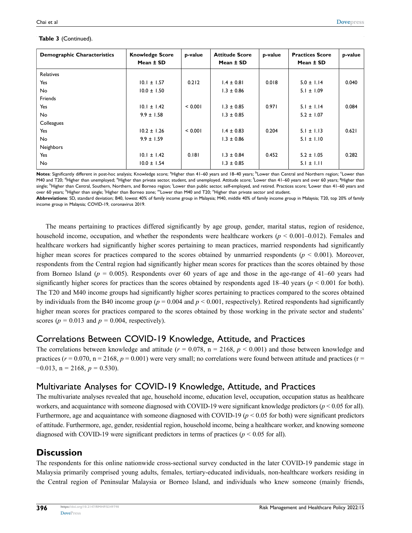#### **Table 3** (Continued).

| <b>Demographic Characteristics</b> | <b>Knowledge Score</b><br>Mean ± SD | p-value | <b>Attitude Score</b><br>Mean ± SD | p-value | <b>Practices Score</b><br>Mean ± SD | p-value |
|------------------------------------|-------------------------------------|---------|------------------------------------|---------|-------------------------------------|---------|
| Relatives                          |                                     |         |                                    |         |                                     |         |
| Yes                                | $10.1 \pm 1.57$                     | 0.212   | $1.4 \pm 0.81$                     | 0.018   | $5.0 \pm 1.14$                      | 0.040   |
| No                                 | $10.0 \pm 1.50$                     |         | $1.3 \pm 0.86$                     |         | $5.1 \pm 1.09$                      |         |
| Friends                            |                                     |         |                                    |         |                                     |         |
| Yes                                | $10.1 \pm 1.42$                     | < 0.001 | $1.3 \pm 0.85$                     | 0.971   | $5.1 \pm 1.14$                      | 0.084   |
| No                                 | $9.9 \pm 1.58$                      |         | $1.3 \pm 0.85$                     |         | $5.2 \pm 1.07$                      |         |
| Colleagues                         |                                     |         |                                    |         |                                     |         |
| Yes                                | $10.2 \pm 1.26$                     | < 0.001 | $1.4 \pm 0.83$                     | 0.204   | $5.1 \pm 1.13$                      | 0.621   |
| No                                 | $9.9 \pm 1.59$                      |         | $1.3 \pm 0.86$                     |         | $5.1 \pm 1.10$                      |         |
| Neighbors                          |                                     |         |                                    |         |                                     |         |
| Yes                                | $10.1 \pm 1.42$                     | 0.181   | $1.3 \pm 0.84$                     | 0.452   | $5.2 \pm 1.05$                      | 0.282   |
| <b>No</b>                          | $10.0 \pm 1.54$                     |         | $1.3 \pm 0.85$                     |         | $5.1 \pm 1.11$                      |         |

Notes: Significantly different in post-hoc analysis; Knowledge score; <sup>a</sup>Higher than 41–60 years and 18–40 years; <sup>b</sup>Lower than Central and Northern region; <sup>c</sup>Lower than M40 and T20; <sup>d</sup>Higher than unemployed; <sup>e</sup>Higher than private sector, student, and unemployed. Attitude score; <sup>f</sup>Lower than 41–60 years and over 60 years; <sup>g</sup>Higher than single; <sup>h</sup>Higher than Central, Southern, Northern, and Borneo region; <sup>'</sup>Lower than public sector, self-employed, and retired. Practices score; <sup>'</sup>Lower than 41–60 years and over 60 years; <sup>k</sup>Higher than single; <sup>!</sup>Higher than Borneo zone; <sup>m</sup>Lower than M40 and T20; <sup>n</sup>Higher than private sector and student.

**Abbreviations**: SD, standard deviation; B40, lowest 40% of family income group in Malaysia; M40, middle 40% of family income group in Malaysia; T20, top 20% of family income group in Malaysia; COVID-19, coronavirus 2019.

The means pertaining to practices differed significantly by age group, gender, marital status, region of residence, household income, occupation, and whether the respondents were healthcare workers ( $p \le 0.001 - 0.012$ ). Females and healthcare workers had significantly higher scores pertaining to mean practices, married respondents had significantly higher mean scores for practices compared to the scores obtained by unmarried respondents ( $p < 0.001$ ). Moreover, respondents from the Central region had significantly higher mean scores for practices than the scores obtained by those from Borneo Island (*p* = 0.005). Respondents over 60 years of age and those in the age-range of 41–60 years had significantly higher scores for practices than the scores obtained by respondents aged  $18-40$  years ( $p < 0.001$  for both). The T20 and M40 income groups had significantly higher scores pertaining to practices compared to the scores obtained by individuals from the B40 income group ( $p = 0.004$  and  $p < 0.001$ , respectively). Retired respondents had significantly higher mean scores for practices compared to the scores obtained by those working in the private sector and students' scores ( $p = 0.013$  and  $p = 0.004$ , respectively).

#### Correlations Between COVID-19 Knowledge, Attitude, and Practices

The correlations between knowledge and attitude  $(r = 0.078, n = 2168, p < 0.001)$  and those between knowledge and practices ( $r = 0.070$ ,  $n = 2168$ ,  $p = 0.001$ ) were very small; no correlations were found between attitude and practices ( $r =$  $-0.013$ , n = 2168,  $p = 0.530$ ).

#### Multivariate Analyses for COVID-19 Knowledge, Attitude, and Practices

The multivariate analyses revealed that age, household income, education level, occupation, occupation status as healthcare workers, and acquaintance with someone diagnosed with COVID-19 were significant knowledge predictors (*p* < 0.05 for all). Furthermore, age and acquaintance with someone diagnosed with COVID-19 ( $p < 0.05$  for both) were significant predictors of attitude. Furthermore, age, gender, residential region, household income, being a healthcare worker, and knowing someone diagnosed with COVID-19 were significant predictors in terms of practices ( $p < 0.05$  for all).

# **Discussion**

The respondents for this online nationwide cross-sectional survey conducted in the later COVID-19 pandemic stage in Malaysia primarily comprised young adults, females, tertiary-educated individuals, non-healthcare workers residing in the Central region of Peninsular Malaysia or Borneo Island, and individuals who knew someone (mainly friends,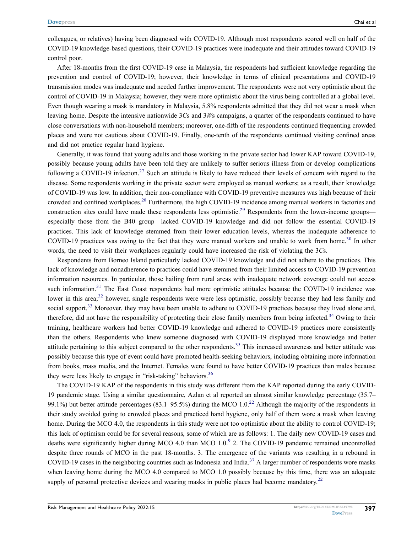colleagues, or relatives) having been diagnosed with COVID-19. Although most respondents scored well on half of the COVID-19 knowledge-based questions, their COVID-19 practices were inadequate and their attitudes toward COVID-19 control poor.

After 18-months from the first COVID-19 case in Malaysia, the respondents had sufficient knowledge regarding the prevention and control of COVID-19; however, their knowledge in terms of clinical presentations and COVID-19 transmission modes was inadequate and needed further improvement. The respondents were not very optimistic about the control of COVID-19 in Malaysia; however, they were more optimistic about the virus being controlled at a global level. Even though wearing a mask is mandatory in Malaysia, 5.8% respondents admitted that they did not wear a mask when leaving home. Despite the intensive nationwide 3*C*s and 3*W*s campaigns, a quarter of the respondents continued to have close conversations with non-household members; moreover, one-fifth of the respondents continued frequenting crowded places and were not cautious about COVID-19. Finally, one-tenth of the respondents continued visiting confined areas and did not practice regular hand hygiene.

<span id="page-8-1"></span><span id="page-8-0"></span>Generally, it was found that young adults and those working in the private sector had lower KAP toward COVID-19, possibly because young adults have been told they are unlikely to suffer serious illness from or develop complications following a COVID-19 infection.<sup>27</sup> Such an attitude is likely to have reduced their levels of concern with regard to the disease. Some respondents working in the private sector were employed as manual workers; as a result, their knowledge of COVID-19 was low. In addition, their non-compliance with COVID-19 preventive measures was high because of their crowded and confined workplaces[.28](#page-11-27) Furthermore, the high COVID-19 incidence among manual workers in factories and construction sites could have made these respondents less optimistic.<sup>[29](#page-11-28)</sup> Respondents from the lower-income groups especially those from the B40 group—lacked COVID-19 knowledge and did not follow the essential COVID-19 practices. This lack of knowledge stemmed from their lower education levels, whereas the inadequate adherence to COVID-19 practices was owing to the fact that they were manual workers and unable to work from home.<sup>[30](#page-12-0)</sup> In other words, the need to visit their workplaces regularly could have increased the risk of violating the 3*C*s.

<span id="page-8-7"></span><span id="page-8-6"></span><span id="page-8-5"></span><span id="page-8-4"></span><span id="page-8-3"></span><span id="page-8-2"></span>Respondents from Borneo Island particularly lacked COVID-19 knowledge and did not adhere to the practices. This lack of knowledge and nonadherence to practices could have stemmed from their limited access to COVID-19 prevention information resources. In particular, those hailing from rural areas with inadequate network coverage could not access such information.<sup>[31](#page-12-1)</sup> The East Coast respondents had more optimistic attitudes because the COVID-19 incidence was lower in this area;<sup>[32](#page-12-2)</sup> however, single respondents were were less optimistic, possibly because they had less family and social support.<sup>[33](#page-12-3)</sup> Moreover, they may have been unable to adhere to COVID-19 practices because they lived alone and, therefore, did not have the responsibility of protecting their close family members from being infected.<sup>[34](#page-12-4)</sup> Owing to their training, healthcare workers had better COVID-19 knowledge and adhered to COVID-19 practices more consistently than the others. Respondents who knew someone diagnosed with COVID-19 displayed more knowledge and better attitude pertaining to this subject compared to the other respondents.<sup>[35](#page-12-5)</sup> This increased awareness and better attitude was possibly because this type of event could have promoted health-seeking behaviors, including obtaining more information from books, mass media, and the Internet. Females were found to have better COVID-19 practices than males because they were less likely to engage in "risk-taking" behaviors.<sup>[36](#page-12-6)</sup>

<span id="page-8-10"></span><span id="page-8-9"></span><span id="page-8-8"></span>The COVID-19 KAP of the respondents in this study was different from the KAP reported during the early COVID-19 pandemic stage. Using a similar questionnaire, Azlan et al reported an almost similar knowledge percentage (35.7– 99.1%) but better attitude percentages (83.1–95.5%) during the MCO  $1.0<sup>22</sup>$  Although the majority of the respondents in their study avoided going to crowded places and practiced hand hygiene, only half of them wore a mask when leaving home. During the MCO 4.0, the respondents in this study were not too optimistic about the ability to control COVID-19; this lack of optimism could be for several reasons, some of which are as follows: 1. The daily new COVID-19 cases and deaths were significantly higher during MCO 4.0 than MCO  $1.0<sup>9</sup>$  $1.0<sup>9</sup>$  $1.0<sup>9</sup>$  2. The COVID-19 pandemic remained uncontrolled despite three rounds of MCO in the past 18-months. 3. The emergence of the variants was resulting in a rebound in COVID-19 cases in the neighboring countries such as Indonesia and India.<sup>[37](#page-12-7)</sup> A larger number of respondents wore masks when leaving home during the MCO 4.0 compared to MCO 1.0 possibly because by this time, there was an adequate supply of personal protective devices and wearing masks in public places had become mandatory.<sup>22</sup>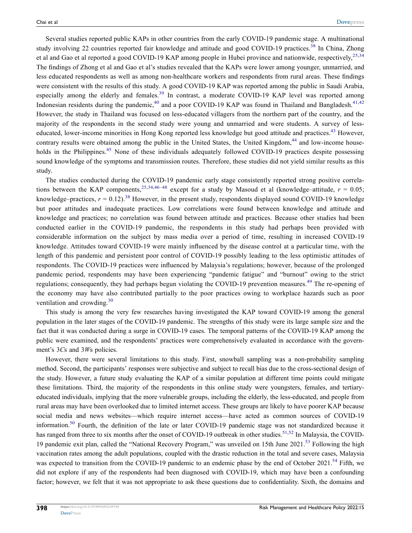<span id="page-9-2"></span><span id="page-9-1"></span>Several studies reported public KAPs in other countries from the early COVID-19 pandemic stage. A multinational study involving 22 countries reported fair knowledge and attitude and good COVID-19 practices.<sup>[38](#page-12-8)</sup> In China, Zhong et al and Gao et al reported a good COVID-19 KAP among people in Hubei province and nationwide, respectively,<sup>[25,](#page-11-24)[34](#page-12-4)</sup> The findings of Zhong et al and Gao et al's studies revealed that the KAPs were lower among younger, unmarried, and less educated respondents as well as among non-healthcare workers and respondents from rural areas. These findings were consistent with the results of this study. A good COVID-19 KAP was reported among the public in Saudi Arabia, especially among the elderly and females.<sup>[39](#page-12-9)</sup> In contrast, a moderate COVID-19 KAP level was reported among Indonesian residents during the pandemic,<sup>[40](#page-12-10)</sup> and a poor COVID-19 KAP was found in Thailand and Bangladesh.<sup>[41,](#page-12-11)[42](#page-12-12)</sup> However, the study in Thailand was focused on less-educated villagers from the northern part of the country, and the majority of the respondents in the second study were young and unmarried and were students. A survey of less-educated, lower-income minorities in Hong Kong reported less knowledge but good attitude and practices.<sup>[43](#page-12-13)</sup> However, contrary results were obtained among the public in the United States, the United Kingdom,<sup>[44](#page-12-14)</sup> and low-income house-holds in the Philippines.<sup>[45](#page-12-15)</sup> None of these individuals adequately followed COVID-19 practices despite possessing sound knowledge of the symptoms and transmission routes. Therefore, these studies did not yield similar results as this study.

<span id="page-9-6"></span><span id="page-9-5"></span><span id="page-9-4"></span><span id="page-9-3"></span><span id="page-9-0"></span>The studies conducted during the COVID-19 pandemic early stage consistently reported strong positive correla-tions between the KAP components,<sup>[25,](#page-11-24)[34,](#page-12-4)[46–](#page-12-16)[48](#page-12-17)</sup> except for a study by Masoud et al (knowledge–attitude,  $r = 0.05$ ; knowledge–practices,  $r = 0.12$ ).<sup>[38](#page-12-8)</sup> However, in the present study, respondents displayed sound COVID-19 knowledge but poor attitudes and inadequate practices. Low correlations were found between knowledge and attitude and knowledge and practices; no correlation was found between attitude and practices. Because other studies had been conducted earlier in the COVID-19 pandemic, the respondents in this study had perhaps been provided with considerable information on the subject by mass media over a period of time, resulting in increased COVID-19 knowledge. Attitudes toward COVID-19 were mainly influenced by the disease control at a particular time, with the length of this pandemic and persistent poor control of COVID-19 possibly leading to the less optimistic attitudes of respondents. The COVID-19 practices were influenced by Malaysia's regulations; however, because of the prolonged pandemic period, respondents may have been experiencing "pandemic fatigue" and "burnout" owing to the strict regulations; consequently, they had perhaps begun violating the COVID-19 prevention measures.[49](#page-12-18) The re-opening of the economy may have also contributed partially to the poor practices owing to workplace hazards such as poor ventilation and crowding.<sup>[30](#page-12-0)</sup>

<span id="page-9-7"></span>This study is among the very few researches having investigated the KAP toward COVID-19 among the general population in the later stages of the COVID-19 pandemic. The strengths of this study were its large sample size and the fact that it was conducted during a surge in COVID-19 cases. The temporal patterns of the COVID-19 KAP among the public were examined, and the respondents' practices were comprehensively evaluated in accordance with the government's 3*C*s and 3*W*s policies.

<span id="page-9-11"></span><span id="page-9-10"></span><span id="page-9-9"></span><span id="page-9-8"></span>However, there were several limitations to this study. First, snowball sampling was a non-probability sampling method. Second, the participants' responses were subjective and subject to recall bias due to the cross-sectional design of the study. However, a future study evaluating the KAP of a similar population at different time points could mitigate these limitations. Third, the majority of the respondents in this online study were youngsters, females, and tertiaryeducated individuals, implying that the more vulnerable groups, including the elderly, the less-educated, and people from rural areas may have been overlooked due to limited internet access. These groups are likely to have poorer KAP because social media and news websites—which require internet access—have acted as common sources of COVID-19 information.<sup>[50](#page-12-19)</sup> Fourth, the definition of the late or later COVID-19 pandemic stage was not standardized because it has ranged from three to six months after the onset of COVID-19 outbreak in other studies.<sup>[51](#page-12-20)[,52](#page-12-21)</sup> In Malaysia, the COVID-19 pandemic exit plan, called the "National Recovery Program," was unveiled on 15th June 2021.<sup>[53](#page-12-22)</sup> Following the high vaccination rates among the adult populations, coupled with the drastic reduction in the total and severe cases, Malaysia was expected to transition from the COVID-19 pandemic to an endemic phase by the end of October 2021.<sup>[54](#page-12-23)</sup> Fifth, we did not explore if any of the respondents had been diagnosed with COVID-19, which may have been a confounding factor; however, we felt that it was not appropriate to ask these questions due to confidentiality. Sixth, the domains and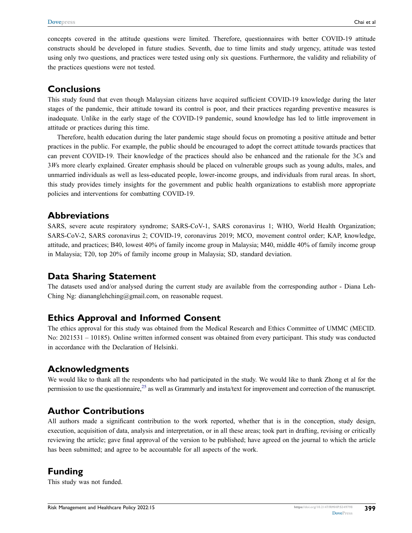concepts covered in the attitude questions were limited. Therefore, questionnaires with better COVID-19 attitude constructs should be developed in future studies. Seventh, due to time limits and study urgency, attitude was tested using only two questions, and practices were tested using only six questions. Furthermore, the validity and reliability of the practices questions were not tested.

#### **Conclusions**

This study found that even though Malaysian citizens have acquired sufficient COVID-19 knowledge during the later stages of the pandemic, their attitude toward its control is poor, and their practices regarding preventive measures is inadequate. Unlike in the early stage of the COVID-19 pandemic, sound knowledge has led to little improvement in attitude or practices during this time.

Therefore, health education during the later pandemic stage should focus on promoting a positive attitude and better practices in the public. For example, the public should be encouraged to adopt the correct attitude towards practices that can prevent COVID-19. Their knowledge of the practices should also be enhanced and the rationale for the 3*C*s and 3*W*s more clearly explained. Greater emphasis should be placed on vulnerable groups such as young adults, males, and unmarried individuals as well as less-educated people, lower-income groups, and individuals from rural areas. In short, this study provides timely insights for the government and public health organizations to establish more appropriate policies and interventions for combatting COVID-19.

#### **Abbreviations**

SARS, severe acute respiratory syndrome; SARS-CoV-1, SARS coronavirus 1; WHO, World Health Organization; SARS-CoV-2, SARS coronavirus 2; COVID-19, coronavirus 2019; MCO, movement control order; KAP, knowledge, attitude, and practices; B40, lowest 40% of family income group in Malaysia; M40, middle 40% of family income group in Malaysia; T20, top 20% of family income group in Malaysia; SD, standard deviation.

#### **Data Sharing Statement**

The datasets used and/or analysed during the current study are available from the corresponding author - Diana Leh-Ching Ng: diananglehching@gmail.com, on reasonable request.

# **Ethics Approval and Informed Consent**

The ethics approval for this study was obtained from the Medical Research and Ethics Committee of UMMC (MECID. No: 2021531 – 10185). Online written informed consent was obtained from every participant. This study was conducted in accordance with the Declaration of Helsinki.

# **Acknowledgments**

We would like to thank all the respondents who had participated in the study. We would like to thank Zhong et al for the permission to use the questionnaire,  $25$  as well as Grammarly and insta/text for improvement and correction of the manuscript.

# **Author Contributions**

All authors made a significant contribution to the work reported, whether that is in the conception, study design, execution, acquisition of data, analysis and interpretation, or in all these areas; took part in drafting, revising or critically reviewing the article; gave final approval of the version to be published; have agreed on the journal to which the article has been submitted; and agree to be accountable for all aspects of the work.

# **Funding**

This study was not funded.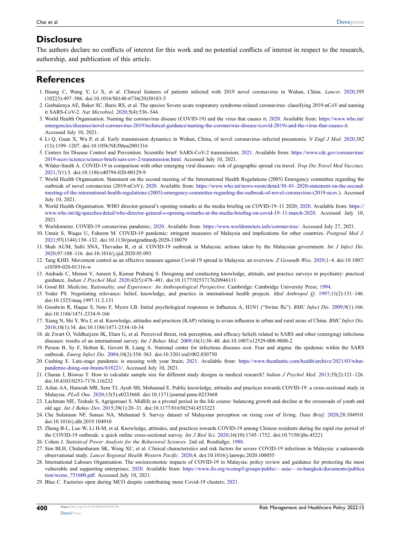#### **Disclosure**

The authors declare no conflicts of interest for this work and no potential conflicts of interest in respect to the research, authorship, and publication of this article.

# **References**

- <span id="page-11-0"></span>1. Huang C, Wang Y, Li X, et al. Clinical features of patients infected with 2019 novel coronavirus in Wuhan, China. *Lancet*. [2020](#page-0-4);395 (10223):497–506. doi:[10.1016/S0140-6736\(20\)30183-5](https://doi.org/10.1016/S0140-6736(20)30183-5)
- <span id="page-11-1"></span>2. Gorbalenya AE, Baker SC, Baric RS, et al. The species Severe acute respiratory syndrome-related coronavirus: classifying 2019-nCoV and naming it SARS-CoV-2. *Nat Microbiol*. [2020;](#page-0-5)5(4):536–544.
- <span id="page-11-2"></span>3. World Health Organisation. Naming the coronavirus disease (COVID-19) and the virus that causes it; [2020](#page-0-6). Available from: [https://www.who.int/](https://www.who.int/emergencies/diseases/novel-coronavirus-2019/technical-guidance/naming-the-coronavirus-disease-(covid-2019)-and-the-virus-that-causes-it) [emergencies/diseases/novel-coronavirus-2019/technical-guidance/naming-the-coronavirus-disease-\(covid-2019\)-and-the-virus-that-causes-it.](https://www.who.int/emergencies/diseases/novel-coronavirus-2019/technical-guidance/naming-the-coronavirus-disease-(covid-2019)-and-the-virus-that-causes-it) Accessed July 10, 2021.
- <span id="page-11-3"></span>4. Li Q, Guan X, Wu P, et al. Early transmission dynamics in Wuhan, China, of novel coronavirus–infected pneumonia. *N Engl J Med*. [2020](#page-1-0);382 (13):1199–1207. doi:[10.1056/NEJMoa2001316](https://doi.org/10.1056/NEJMoa2001316)
- <span id="page-11-4"></span>5. Centers for Disease Control and Prevention. Scientific brief: SARS-CoV-2 transmission; [2021.](#page-1-0) Available from: [https://www.cdc.gov/coronavirus/](https://www.cdc.gov/coronavirus/2019-ncov/science/science-briefs/sars-cov-2-transmission.html) [2019-ncov/science/science-briefs/sars-cov-2-transmission.html.](https://www.cdc.gov/coronavirus/2019-ncov/science/science-briefs/sars-cov-2-transmission.html) Accessed July 10, 2021.
- <span id="page-11-5"></span>6. Wilder-Smith A. COVID-19 in comparison with other emerging viral diseases: risk of geographic spread via travel. *Trop Dis Travel Med Vaccines*. [2021;](#page-1-1)7(1):3. doi:[10.1186/s40794-020-00129-9](https://doi.org/10.1186/s40794-020-00129-9)
- <span id="page-11-6"></span>7. World Health Organisation. Statement on the second meeting of the International Health Regulations (2005) Emergency committee regarding the outbreak of novel coronavirus (2019-nCoV); [2020.](#page-1-2) Available from: [https://www.who.int/news-room/detail/30–01–2020-statement-on-the-second](https://www.who.int/news-room/detail/30%201301%20132020-statement-on-the-second-meeting-of-the-international-health-regulations-(2005)-emergency-committee-regarding-the-outbreak-of-novel-coronavirus-(2019-ncov)[meeting-of-the-international-health-regulations-\(2005\)-emergency-committee-regarding-the-outbreak-of-novel-coronavirus-\(2019-ncov.](https://www.who.int/news-room/detail/30%201301%20132020-statement-on-the-second-meeting-of-the-international-health-regulations-(2005)-emergency-committee-regarding-the-outbreak-of-novel-coronavirus-(2019-ncov)). Accessed July 10, 2021.
- <span id="page-11-7"></span>8. World Health Organisation. WHO director-general's opening remarks at the media briefing on COVID-19–11 2020; [2020.](#page-1-2) Available from: [https://](https://www.who.int/dg/speeches/detail/who-director-general-s-opening-remarks-at-the-media-briefing-on-covid-19%201311-march-2020) [www.who.int/dg/speeches/detail/who-director-general-s-opening-remarks-at-the-media-briefing-on-covid-19–11-march-2020](https://www.who.int/dg/speeches/detail/who-director-general-s-opening-remarks-at-the-media-briefing-on-covid-19%201311-march-2020). Accessed July 10, 2021.
- <span id="page-11-8"></span>9. Worldometer. COVID-19 coronavirus pandemic; [2020.](#page-1-3) Available from: <https://www.worldometers.info/coronavirus/>. Accessed July 27, 2021.
- <span id="page-11-9"></span>10. Umair S, Waqas U, Faheem M. COVID-19 pandemic: stringent measures of Malaysia and implications for other countries. *Postgrad Med J*. [2021;](#page-1-4)97(1144):130–132. doi:[10.1136/postgradmedj-2020-138079](https://doi.org/10.1136/postgradmedj-2020-138079)
- <span id="page-11-10"></span>11. Shah AUM, Safri SNA, Thevadas R, et al. COVID-19 outbreak in Malaysia: actions taken by the Malaysian government. *Int J Infect Dis*. [2020;](#page-1-5)97:108–116. doi:[10.1016/j.ijid.2020.05.093](https://doi.org/10.1016/j.ijid.2020.05.093)
- <span id="page-11-11"></span>12. Tang KHD. Movement control as an effective measure against Covid-19 spread in Malaysia: an overview. *Z Gesundh Wiss*. [2020](#page-1-6);1–4. doi:[10.1007/](https://doi.org/10.1007/s10389-020-01316-w) [s10389-020-01316-w](https://doi.org/10.1007/s10389-020-01316-w)
- <span id="page-11-12"></span>13. Andrade C, Menon V, Ameen S, Kumar Praharaj S. Designing and conducting knowledge, attitude, and practice surveys in psychiatry: practical guidance. *Indian J Psychol Med*. [2020;](#page-1-7)42(5):478–481. doi:[10.1177/0253717620946111](https://doi.org/10.1177/0253717620946111)
- <span id="page-11-13"></span>14. Good BJ. *Medicine, Rationality, and Experience: An Anthropological Perspective*. Cambridge: Cambridge University Press; [1994](#page-1-8).
- <span id="page-11-14"></span>15. Yoder PS. Negotiating relevance: belief, knowledge, and practice in international health projects. *Med Anthropol Q*. [1997;](#page-1-9)11(2):131–146. doi:[10.1525/maq.1997.11.2.131](https://doi.org/10.1525/maq.1997.11.2.131)
- <span id="page-11-15"></span>16. Goodwin R, Haque S, Neto F, Myers LB. Initial psychological responses to Influenza A, H1N1 ("Swine flu"). *BMC Infect Dis*. [2009;](#page-1-10)9(1):166. doi:[10.1186/1471-2334-9-166](https://doi.org/10.1186/1471-2334-9-166)
- <span id="page-11-16"></span>17. Xiang N, Shi Y, Wu J, et al. Knowledge, attitudes and practices (KAP) relating to avian influenza in urban and rural areas of China. *BMC Infect Dis*. [2010;](#page-1-10)10(1):34. doi:[10.1186/1471-2334-10-34](https://doi.org/10.1186/1471-2334-10-34)
- <span id="page-11-17"></span>18. de Zwart O, Veldhuijzen IK, Elam G, et al. Perceived threat, risk perception, and efficacy beliefs related to SARS and other (emerging) infectious diseases: results of an international survey. *Int J Behav Med*. [2009;](#page-1-11)16(1):30–40. doi:[10.1007/s12529-008-9008-2](https://doi.org/10.1007/s12529-008-9008-2)
- <span id="page-11-18"></span>19. Person B, Sy F, Holton K, Govert B, Liang A. National center for infectious diseases scot. Fear and stigma: the epidemic within the SARS outbreak. *Emerg Infect Dis*. [2004;](#page-1-12)10(2):358–363. doi:[10.3201/eid1002.030750](https://doi.org/10.3201/eid1002.030750)
- <span id="page-11-19"></span>20. Cushing E. Late-stage pandemic is messing with your brain; [2021](#page-1-13). Available from: [https://www.theatlantic.com/health/archive/2021/03/what](https://www.theatlantic.com/health/archive/2021/03/what-pandemic-doing-our-brains/618221/)[pandemic-doing-our-brains/618221/.](https://www.theatlantic.com/health/archive/2021/03/what-pandemic-doing-our-brains/618221/) Accessed July 10, 2021.
- <span id="page-11-20"></span>21. Charan J, Biswas T. How to calculate sample size for different study designs in medical research? *Indian J Psychol Med*. [2013;](#page-1-14)35(2):121–126. doi:[10.4103/0253-7176.116232](https://doi.org/10.4103/0253-7176.116232)
- <span id="page-11-21"></span>22. Azlan AA, Hamzah MR, Sern TJ, Ayub SH, Mohamad E. Public knowledge, attitudes and practices towards COVID-19: a cross-sectional study in Malaysia. *PLoS One*. [2020;](#page-1-14)15(5):e0233668. doi:[10.1371/journal.pone.0233668](https://doi.org/10.1371/journal.pone.0233668)
- <span id="page-11-22"></span>23. Lachman ME, Teshale S, Agrigoroaei S. Midlife as a pivotal period in the life course: balancing growth and decline at the crossroads of youth and old age. *Int J Behav Dev*. [2015;](#page-2-0)39(1):20–31. doi:[10.1177/0165025414533223](https://doi.org/10.1177/0165025414533223)
- <span id="page-11-23"></span>24. Che Sulaiman NF, Sanusi NA, Muhamad S. Survey dataset of Malaysian perception on rising cost of living. *Data Brief*. [2020;](#page-2-1)28:104910. doi:[10.1016/j.dib.2019.104910](https://doi.org/10.1016/j.dib.2019.104910)
- <span id="page-11-24"></span>25. Zhong B-L, Luo W, Li H-M, et al. Knowledge, attitudes, and practices towards COVID-19 among Chinese residents during the rapid rise period of the COVID-19 outbreak: a quick online cross-sectional survey. *Int J Biol Sci*. [2020;](#page-2-2)16(10):1745–1752. doi:[10.7150/ijbs.45221](https://doi.org/10.7150/ijbs.45221)
- <span id="page-11-25"></span>26. Cohen J. *Statistical Power Analysis for the Behavioral Sciences*. 2nd ed. Routledge; [1988](#page-2-3).
- <span id="page-11-26"></span>27. Sim BLH, Chidambaram SK, Wong XC, et al. Clinical characteristics and risk factors for severe COVID-19 infections in Malaysia: a nationwide observational study. *Lancet Regional Health Western Pacific*. [2020](#page-8-0);4. doi:[10.1016/j.lanwpc.2020.100055](https://doi.org/10.1016/j.lanwpc.2020.100055)
- <span id="page-11-27"></span>28. International Labours Organisation. The socioeconomic impacts of COVID-19 in Malaysia: policy review and guidance for protecting the most vulnerable and supporting enterprises; [2020.](#page-8-1) Available from: [https://www.ilo.org/wcmsp5/groups/public/—asia/—ro-bangkok/documents/publica](https://www.ilo.org/wcmsp5/groups/public/%2014asia/%2014ro-bangkok/documents/publication/wcms_751600.pdf) [tion/wcms\\_751600.pdf.](https://www.ilo.org/wcmsp5/groups/public/%2014asia/%2014ro-bangkok/documents/publication/wcms_751600.pdf) Accessed July 10, 2021.
- <span id="page-11-28"></span>29. Blue C. Factories open during MCO despite contributing more Covid-19 clusters; [2021](#page-8-2).